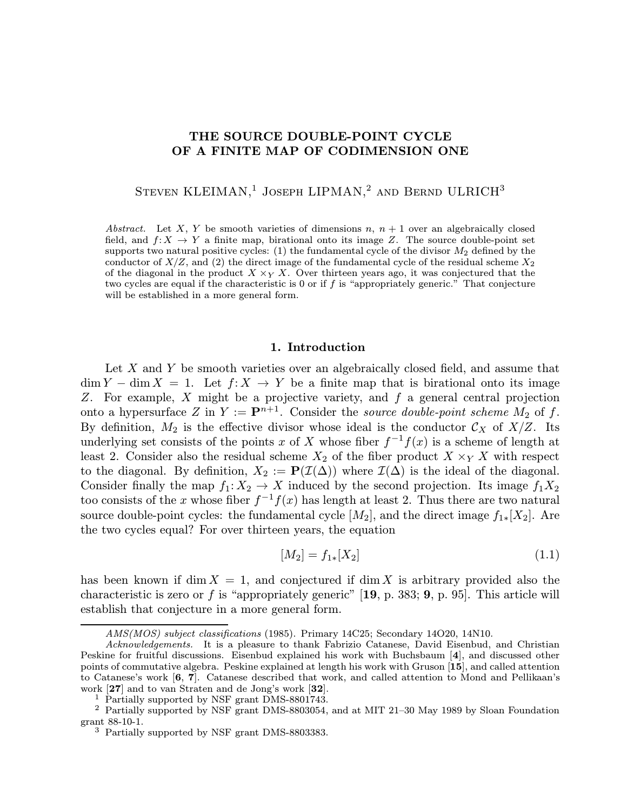# THE SOURCE DOUBLE-POINT CYCLE OF A FINITE MAP OF CODIMENSION ONE

STEVEN KLEIMAN,<sup>1</sup> JOSEPH LIPMAN,<sup>2</sup> AND BERND ULRICH<sup>3</sup>

Abstract. Let X, Y be smooth varieties of dimensions n,  $n + 1$  over an algebraically closed field, and  $f: X \to Y$  a finite map, birational onto its image Z. The source double-point set supports two natural positive cycles: (1) the fundamental cycle of the divisor  $M_2$  defined by the conductor of  $X/Z$ , and (2) the direct image of the fundamental cycle of the residual scheme  $X_2$ of the diagonal in the product  $X \times_Y X$ . Over thirteen years ago, it was conjectured that the two cycles are equal if the characteristic is 0 or if f is "appropriately generic." That conjecture will be established in a more general form.

#### 1. Introduction

Let X and Y be smooth varieties over an algebraically closed field, and assume that  $\dim Y - \dim X = 1$ . Let  $f: X \to Y$  be a finite map that is birational onto its image Z. For example, X might be a projective variety, and f a general central projection onto a hypersurface Z in  $Y := \mathbf{P}^{n+1}$ . Consider the source double-point scheme  $M_2$  of f. By definition,  $M_2$  is the effective divisor whose ideal is the conductor  $\mathcal{C}_X$  of  $X/Z$ . Its underlying set consists of the points x of X whose fiber  $f^{-1}f(x)$  is a scheme of length at least 2. Consider also the residual scheme  $X_2$  of the fiber product  $X \times_Y X$  with respect to the diagonal. By definition,  $X_2 := \mathbf{P}(\mathcal{I}(\Delta))$  where  $\mathcal{I}(\Delta)$  is the ideal of the diagonal. Consider finally the map  $f_1: X_2 \to X$  induced by the second projection. Its image  $f_1X_2$ too consists of the x whose fiber  $f^{-1}f(x)$  has length at least 2. Thus there are two natural source double-point cycles: the fundamental cycle  $[M_2]$ , and the direct image  $f_{1*}[X_2]$ . Are the two cycles equal? For over thirteen years, the equation

$$
[M_2] = f_{1*}[X_2] \tag{1.1}
$$

has been known if dim  $X = 1$ , and conjectured if dim X is arbitrary provided also the characteristic is zero or f is "appropriately generic"  $[19, p. 383; 9, p. 95]$ . This article will establish that conjecture in a more general form.

AMS(MOS) subject classifications (1985). Primary 14C25; Secondary 14O20, 14N10.

Acknowledgements. It is a pleasure to thank Fabrizio Catanese, David Eisenbud, and Christian Peskine for fruitful discussions. Eisenbud explained his work with Buchsbaum [4], and discussed other points of commutative algebra. Peskine explained at length his work with Gruson [15], and called attention to Catanese's work [6, 7]. Catanese described that work, and called attention to Mond and Pellikaan's work [27] and to van Straten and de Jong's work [32].

<sup>1</sup> Partially supported by NSF grant DMS-8801743.

<sup>2</sup> Partially supported by NSF grant DMS-8803054, and at MIT 21–30 May 1989 by Sloan Foundation grant 88-10-1.

<sup>3</sup> Partially supported by NSF grant DMS-8803383.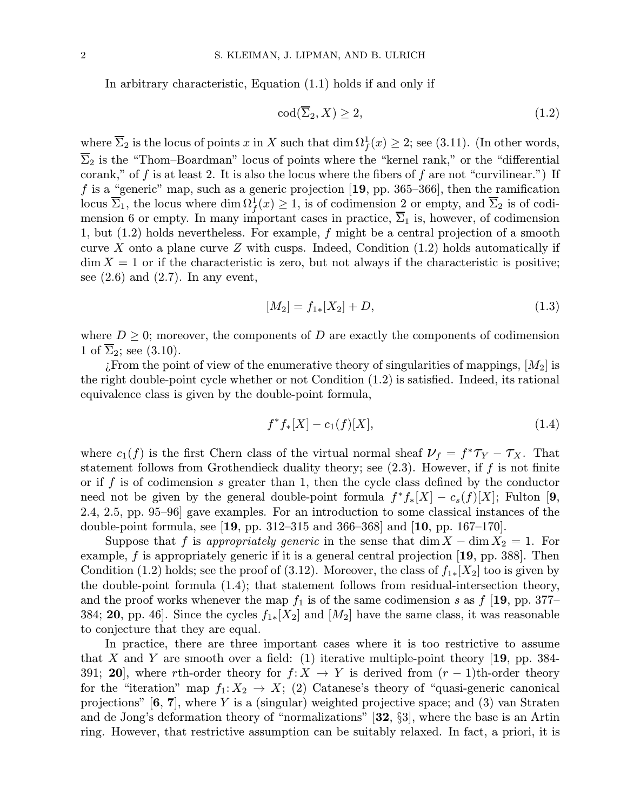In arbitrary characteristic, Equation (1.1) holds if and only if

$$
\operatorname{cod}(\overline{\Sigma}_2, X) \ge 2,\tag{1.2}
$$

where  $\overline{\Sigma}_2$  is the locus of points x in X such that  $\dim \Omega_f^1(x) \geq 2$ ; see (3.11). (In other words,  $\overline{\Sigma}_2$  is the "Thom–Boardman" locus of points where the "kernel rank," or the "differential" corank," of f is at least 2. It is also the locus where the fibers of f are not "curvilinear.") If f is a "generic" map, such as a generic projection  $[19, pp. 365-366]$ , then the ramification locus  $\overline{\Sigma}_1$ , the locus where  $\dim \Omega_f^1(x) \ge 1$ , is of codimension 2 or empty, and  $\overline{\Sigma}_2$  is of codimension 6 or empty. In many important cases in practice,  $\overline{\Sigma}_1$  is, however, of codimension 1, but  $(1.2)$  holds nevertheless. For example, f might be a central projection of a smooth curve X onto a plane curve Z with cusps. Indeed, Condition  $(1.2)$  holds automatically if  $\dim X = 1$  or if the characteristic is zero, but not always if the characteristic is positive; see  $(2.6)$  and  $(2.7)$ . In any event,

$$
[M_2] = f_{1*}[X_2] + D,\t\t(1.3)
$$

where  $D \geq 0$ ; moreover, the components of D are exactly the components of codimension 1 of  $\overline{\Sigma}_2$ ; see (3.10).

¿From the point of view of the enumerative theory of singularities of mappings,  $[M_2]$  is the right double-point cycle whether or not Condition (1.2) is satisfied. Indeed, its rational equivalence class is given by the double-point formula,

$$
f^*f_*[X] - c_1(f)[X], \tag{1.4}
$$

where  $c_1(f)$  is the first Chern class of the virtual normal sheaf  $\nu_f = f^* \tau_Y - \tau_X$ . That statement follows from Grothendieck duality theory; see  $(2.3)$ . However, if f is not finite or if f is of codimension s greater than 1, then the cycle class defined by the conductor need not be given by the general double-point formula  $f^*f_*|X| - c_s(f)|X|$ ; Fulton [9, 2.4, 2.5, pp. 95–96] gave examples. For an introduction to some classical instances of the double-point formula, see [19, pp. 312–315 and 366–368] and [10, pp. 167–170].

Suppose that f is appropriately generic in the sense that  $\dim X - \dim X_2 = 1$ . For example,  $f$  is appropriately generic if it is a general central projection  $[19, pp. 388]$ . Then Condition (1.2) holds; see the proof of (3.12). Moreover, the class of  $f_{1*}[X_2]$  too is given by the double-point formula (1.4); that statement follows from residual-intersection theory, and the proof works whenever the map  $f_1$  is of the same codimension s as  $f$  [19, pp. 377– 384; 20, pp. 46]. Since the cycles  $f_{1*}[X_2]$  and  $[M_2]$  have the same class, it was reasonable to conjecture that they are equal.

In practice, there are three important cases where it is too restrictive to assume that X and Y are smooth over a field: (1) iterative multiple-point theory [19, pp. 384-391; 20], where rth-order theory for  $f: X \to Y$  is derived from  $(r-1)$ th-order theory for the "iteration" map  $f_1: X_2 \to X$ ; (2) Catanese's theory of "quasi-generic canonical projections"  $[6, 7]$ , where Y is a (singular) weighted projective space; and (3) van Straten and de Jong's deformation theory of "normalizations" [32, §3], where the base is an Artin ring. However, that restrictive assumption can be suitably relaxed. In fact, a priori, it is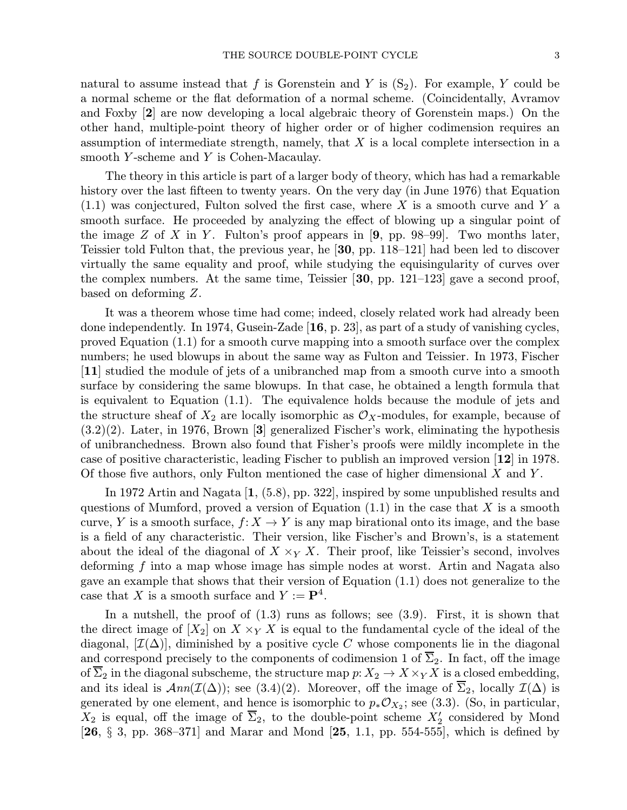natural to assume instead that f is Gorenstein and Y is  $(S_2)$ . For example, Y could be a normal scheme or the flat deformation of a normal scheme. (Coincidentally, Avramov and Foxby [2] are now developing a local algebraic theory of Gorenstein maps.) On the other hand, multiple-point theory of higher order or of higher codimension requires an assumption of intermediate strength, namely, that  $X$  is a local complete intersection in a smooth Y-scheme and Y is Cohen-Macaulay.

The theory in this article is part of a larger body of theory, which has had a remarkable history over the last fifteen to twenty years. On the very day (in June 1976) that Equation  $(1.1)$  was conjectured, Fulton solved the first case, where X is a smooth curve and Y a smooth surface. He proceeded by analyzing the effect of blowing up a singular point of the image  $Z$  of  $X$  in  $Y$ . Fulton's proof appears in [9, pp. 98–99]. Two months later, Teissier told Fulton that, the previous year, he [30, pp. 118–121] had been led to discover virtually the same equality and proof, while studying the equisingularity of curves over the complex numbers. At the same time, Teissier [30, pp. 121–123] gave a second proof, based on deforming Z.

It was a theorem whose time had come; indeed, closely related work had already been done independently. In 1974, Gusein-Zade  $[16, p. 23]$ , as part of a study of vanishing cycles, proved Equation (1.1) for a smooth curve mapping into a smooth surface over the complex numbers; he used blowups in about the same way as Fulton and Teissier. In 1973, Fischer [11] studied the module of jets of a unibranched map from a smooth curve into a smooth surface by considering the same blowups. In that case, he obtained a length formula that is equivalent to Equation (1.1). The equivalence holds because the module of jets and the structure sheaf of  $X_2$  are locally isomorphic as  $\mathcal{O}_X$ -modules, for example, because of  $(3.2)(2)$ . Later, in 1976, Brown [3] generalized Fischer's work, eliminating the hypothesis of unibranchedness. Brown also found that Fisher's proofs were mildly incomplete in the case of positive characteristic, leading Fischer to publish an improved version [12] in 1978. Of those five authors, only Fulton mentioned the case of higher dimensional  $X$  and  $Y$ .

In 1972 Artin and Nagata [1, (5.8), pp. 322], inspired by some unpublished results and questions of Mumford, proved a version of Equation  $(1.1)$  in the case that X is a smooth curve, Y is a smooth surface,  $f: X \to Y$  is any map birational onto its image, and the base is a field of any characteristic. Their version, like Fischer's and Brown's, is a statement about the ideal of the diagonal of  $X \times_Y X$ . Their proof, like Teissier's second, involves deforming f into a map whose image has simple nodes at worst. Artin and Nagata also gave an example that shows that their version of Equation (1.1) does not generalize to the case that X is a smooth surface and  $Y := \mathbf{P}^4$ .

In a nutshell, the proof of (1.3) runs as follows; see (3.9). First, it is shown that the direct image of  $[X_2]$  on  $X \times_Y X$  is equal to the fundamental cycle of the ideal of the diagonal,  $[\mathcal{I}(\Delta)]$ , diminished by a positive cycle C whose components lie in the diagonal and correspond precisely to the components of codimension 1 of  $\overline{\Sigma}_2$ . In fact, off the image of  $\overline{\Sigma}_2$  in the diagonal subscheme, the structure map  $p: X_2 \to X \times_Y X$  is a closed embedding, and its ideal is  $Ann(\mathcal{I}(\Delta))$ ; see (3.4)(2). Moreover, off the image of  $\Sigma_2$ , locally  $\mathcal{I}(\Delta)$  is generated by one element, and hence is isomorphic to  $p_*\mathcal{O}_{X_2}$ ; see (3.3). (So, in particular,  $X_2$  is equal, off the image of  $\Sigma_2$ , to the double-point scheme  $X_2'$  considered by Mond  $[26, \S 3, pp. 368-371]$  and Marar and Mond  $[25, 1.1, pp. 554-555]$ , which is defined by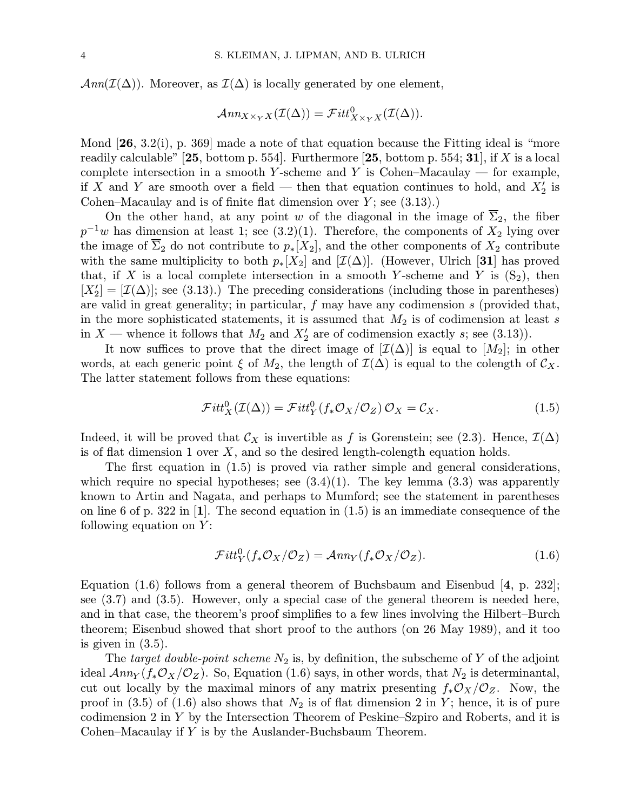$\text{Ann}(\mathcal{I}(\Delta)).$  Moreover, as  $\mathcal{I}(\Delta)$  is locally generated by one element,

$$
\mathcal{A}nn_{X\times_YX}(\mathcal{I}(\Delta))=\mathcal{F}itt^0_{X\times_YX}(\mathcal{I}(\Delta)).
$$

Mond  $[26, 3.2(i), p. 369]$  made a note of that equation because the Fitting ideal is "more readily calculable"  $[25, \text{ bottom p. } 554]$ . Furthermore  $[25, \text{ bottom p. } 554; 31]$ , if X is a local complete intersection in a smooth Y-scheme and Y is Cohen–Macaulay — for example, if X and Y are smooth over a field – then that equation continues to hold, and  $X_2'$  is Cohen–Macaulay and is of finite flat dimension over  $Y$ ; see  $(3.13)$ .)

On the other hand, at any point w of the diagonal in the image of  $\Sigma_2$ , the fiber  $p^{-1}w$  has dimension at least 1; see (3.2)(1). Therefore, the components of  $X_2$  lying over the image of  $\overline{\Sigma}_2$  do not contribute to  $p_*[X_2]$ , and the other components of  $X_2$  contribute with the same multiplicity to both  $p_*[X_2]$  and  $[\mathcal{I}(\Delta)]$ . (However, Ulrich [31] has proved that, if X is a local complete intersection in a smooth Y-scheme and Y is  $(S_2)$ , then  $[X'_2] = [\mathcal{I}(\Delta)]$ ; see (3.13).) The preceding considerations (including those in parentheses) are valid in great generality; in particular,  $f$  may have any codimension  $s$  (provided that, in the more sophisticated statements, it is assumed that  $M_2$  is of codimension at least s in  $X$  — whence it follows that  $M_2$  and  $X'_2$  are of codimension exactly s; see (3.13)).

It now suffices to prove that the direct image of  $[\mathcal{I}(\Delta)]$  is equal to  $[M_2]$ ; in other words, at each generic point  $\xi$  of  $M_2$ , the length of  $\mathcal{I}(\Delta)$  is equal to the colength of  $\mathcal{C}_X$ . The latter statement follows from these equations:

$$
\mathcal{F}itt_X^0(\mathcal{I}(\Delta)) = \mathcal{F}itt_Y^0(f_*\mathcal{O}_X/\mathcal{O}_Z)\mathcal{O}_X = \mathcal{C}_X.
$$
\n(1.5)

Indeed, it will be proved that  $\mathcal{C}_X$  is invertible as f is Gorenstein; see (2.3). Hence,  $\mathcal{I}(\Delta)$ is of flat dimension 1 over  $X$ , and so the desired length-colength equation holds.

The first equation in (1.5) is proved via rather simple and general considerations, which require no special hypotheses; see  $(3.4)(1)$ . The key lemma  $(3.3)$  was apparently known to Artin and Nagata, and perhaps to Mumford; see the statement in parentheses on line 6 of p. 322 in  $[1]$ . The second equation in  $(1.5)$  is an immediate consequence of the following equation on  $Y$ :

$$
\mathcal{F}itt_Y^0(f_*\mathcal{O}_X/\mathcal{O}_Z) = \mathcal{A}nn_Y(f_*\mathcal{O}_X/\mathcal{O}_Z). \tag{1.6}
$$

Equation (1.6) follows from a general theorem of Buchsbaum and Eisenbud [4, p. 232]; see (3.7) and (3.5). However, only a special case of the general theorem is needed here, and in that case, the theorem's proof simplifies to a few lines involving the Hilbert–Burch theorem; Eisenbud showed that short proof to the authors (on 26 May 1989), and it too is given in (3.5).

The target double-point scheme  $N_2$  is, by definition, the subscheme of Y of the adjoint ideal  $\mathcal{A}nn_Y(f_*\mathcal{O}_X/\mathcal{O}_Z)$ . So, Equation (1.6) says, in other words, that  $N_2$  is determinantal, cut out locally by the maximal minors of any matrix presenting  $f_*\mathcal{O}_X/\mathcal{O}_Z$ . Now, the proof in (3.5) of (1.6) also shows that  $N_2$  is of flat dimension 2 in Y; hence, it is of pure codimension 2 in Y by the Intersection Theorem of Peskine–Szpiro and Roberts, and it is Cohen–Macaulay if Y is by the Auslander-Buchsbaum Theorem.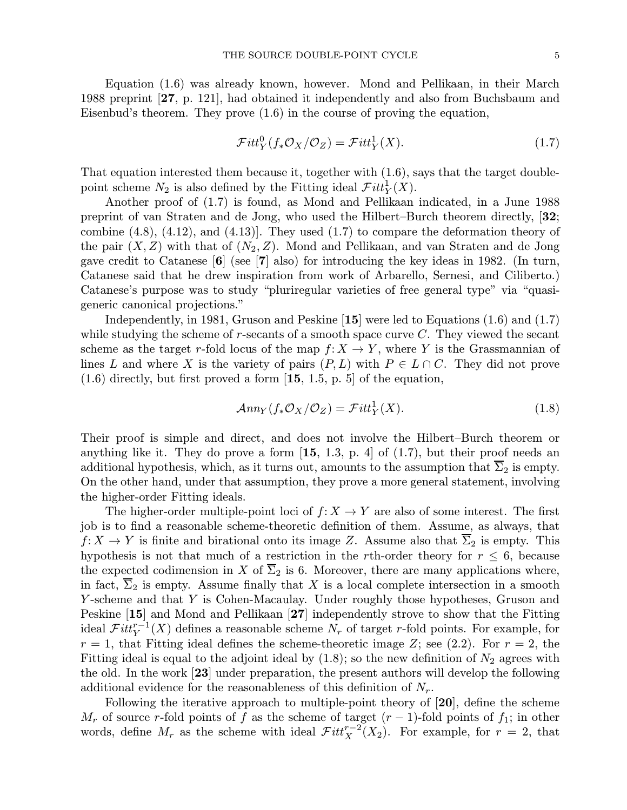Equation (1.6) was already known, however. Mond and Pellikaan, in their March 1988 preprint [27, p. 121], had obtained it independently and also from Buchsbaum and Eisenbud's theorem. They prove (1.6) in the course of proving the equation,

$$
\mathcal{F}itt_Y^0(f_*\mathcal{O}_X/\mathcal{O}_Z) = \mathcal{F}itt_Y^1(X). \tag{1.7}
$$

That equation interested them because it, together with (1.6), says that the target doublepoint scheme  $N_2$  is also defined by the Fitting ideal  $\mathcal{F}itt_Y^1(X)$ .

Another proof of (1.7) is found, as Mond and Pellikaan indicated, in a June 1988 preprint of van Straten and de Jong, who used the Hilbert–Burch theorem directly, [32; combine  $(4.8)$ ,  $(4.12)$ , and  $(4.13)$ . They used  $(1.7)$  to compare the deformation theory of the pair  $(X, Z)$  with that of  $(N_2, Z)$ . Mond and Pellikaan, and van Straten and de Jong gave credit to Catanese  $\lceil 6 \rceil$  (see  $\lceil 7 \rceil$  also) for introducing the key ideas in 1982. (In turn, Catanese said that he drew inspiration from work of Arbarello, Sernesi, and Ciliberto.) Catanese's purpose was to study "pluriregular varieties of free general type" via "quasigeneric canonical projections."

Independently, in 1981, Gruson and Peskine [15] were led to Equations (1.6) and (1.7) while studying the scheme of  $r$ -secants of a smooth space curve  $C$ . They viewed the secant scheme as the target r-fold locus of the map  $f: X \to Y$ , where Y is the Grassmannian of lines L and where X is the variety of pairs  $(P, L)$  with  $P \in L \cap C$ . They did not prove  $(1.6)$  directly, but first proved a form  $\left[15, 1.5, p. 5\right]$  of the equation,

$$
\mathcal{A}nn_Y(f_*\mathcal{O}_X/\mathcal{O}_Z) = \mathcal{F}itt_Y^1(X). \tag{1.8}
$$

Their proof is simple and direct, and does not involve the Hilbert–Burch theorem or anything like it. They do prove a form  $[15, 1.3, p. 4]$  of  $(1.7)$ , but their proof needs an additional hypothesis, which, as it turns out, amounts to the assumption that  $\overline{\Sigma}_2$  is empty. On the other hand, under that assumption, they prove a more general statement, involving the higher-order Fitting ideals.

The higher-order multiple-point loci of  $f: X \to Y$  are also of some interest. The first job is to find a reasonable scheme-theoretic definition of them. Assume, as always, that  $f: X \to Y$  is finite and birational onto its image Z. Assume also that  $\overline{\Sigma}_2$  is empty. This hypothesis is not that much of a restriction in the rth-order theory for  $r \leq 6$ , because the expected codimension in X of  $\overline{\Sigma}_2$  is 6. Moreover, there are many applications where, in fact,  $\Sigma_2$  is empty. Assume finally that X is a local complete intersection in a smooth Y-scheme and that Y is Cohen-Macaulay. Under roughly those hypotheses, Gruson and Peskine [15] and Mond and Pellikaan [27] independently strove to show that the Fitting ideal  $\mathcal{F}itt_Y^{r-1}(X)$  defines a reasonable scheme  $N_r$  of target r-fold points. For example, for  $r = 1$ , that Fitting ideal defines the scheme-theoretic image Z; see (2.2). For  $r = 2$ , the Fitting ideal is equal to the adjoint ideal by  $(1.8)$ ; so the new definition of  $N_2$  agrees with the old. In the work [23] under preparation, the present authors will develop the following additional evidence for the reasonableness of this definition of  $N_r$ .

Following the iterative approach to multiple-point theory of [20], define the scheme  $M_r$  of source r-fold points of f as the scheme of target  $(r-1)$ -fold points of  $f_1$ ; in other words, define  $M_r$  as the scheme with ideal  $\mathcal{F}itt_X^{r-2}(X_2)$ . For example, for  $r = 2$ , that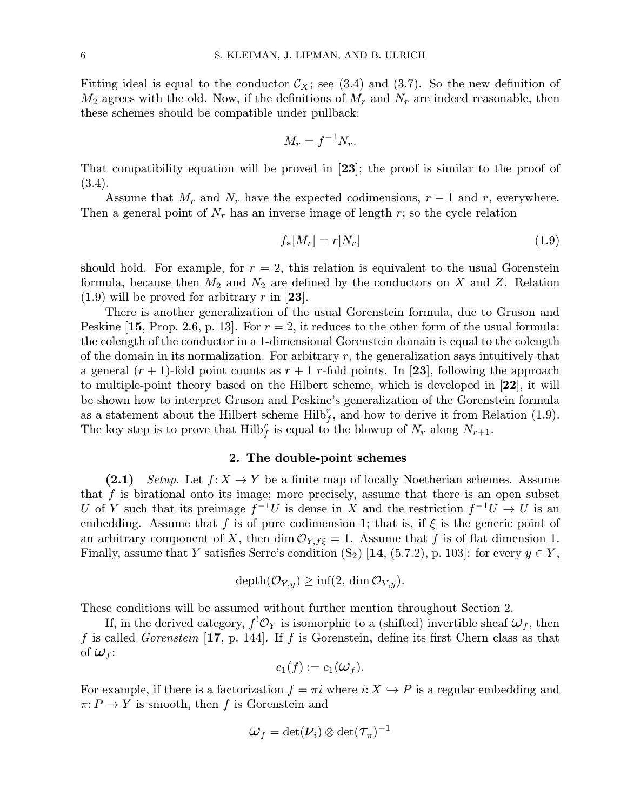Fitting ideal is equal to the conductor  $\mathcal{C}_X$ ; see (3.4) and (3.7). So the new definition of  $M_2$  agrees with the old. Now, if the definitions of  $M_r$  and  $N_r$  are indeed reasonable, then these schemes should be compatible under pullback:

$$
M_r = f^{-1} N_r.
$$

That compatibility equation will be proved in [23]; the proof is similar to the proof of (3.4).

Assume that  $M_r$  and  $N_r$  have the expected codimensions,  $r-1$  and r, everywhere. Then a general point of  $N_r$  has an inverse image of length r; so the cycle relation

$$
f_*[M_r] = r[N_r] \tag{1.9}
$$

should hold. For example, for  $r = 2$ , this relation is equivalent to the usual Gorenstein formula, because then  $M_2$  and  $N_2$  are defined by the conductors on X and Z. Relation  $(1.9)$  will be proved for arbitrary r in [23].

There is another generalization of the usual Gorenstein formula, due to Gruson and Peskine [15, Prop. 2.6, p. 13]. For  $r = 2$ , it reduces to the other form of the usual formula: the colength of the conductor in a 1-dimensional Gorenstein domain is equal to the colength of the domain in its normalization. For arbitrary  $r$ , the generalization says intuitively that a general  $(r + 1)$ -fold point counts as  $r + 1$  r-fold points. In [23], following the approach to multiple-point theory based on the Hilbert scheme, which is developed in [22], it will be shown how to interpret Gruson and Peskine's generalization of the Gorenstein formula as a statement about the Hilbert scheme  $\text{Hilb}_f^r$ , and how to derive it from Relation (1.9). The key step is to prove that  $\text{Hilb}_f^r$  is equal to the blowup of  $N_r$  along  $N_{r+1}$ .

### 2. The double-point schemes

(2.1) Setup. Let  $f: X \to Y$  be a finite map of locally Noetherian schemes. Assume that  $f$  is birational onto its image; more precisely, assume that there is an open subset U of Y such that its preimage  $f^{-1}U$  is dense in X and the restriction  $f^{-1}U \rightarrow U$  is an embedding. Assume that f is of pure codimension 1; that is, if  $\xi$  is the generic point of an arbitrary component of X, then dim  $\mathcal{O}_{Y, f \xi} = 1$ . Assume that f is of flat dimension 1. Finally, assume that Y satisfies Serre's condition  $(S_2)$  [14, (5.7.2), p. 103]: for every  $y \in Y$ ,

$$
\mathrm{depth}(\mathcal{O}_{Y,y}) \geq \inf(2,\, \dim \mathcal{O}_{Y,y}).
$$

These conditions will be assumed without further mention throughout Section 2.

If, in the derived category,  $f^! \mathcal{O}_Y$  is isomorphic to a (shifted) invertible sheaf  $\mathcal{W}_f$ , then f is called *Gorenstein* [17, p. 144]. If f is Gorenstein, define its first Chern class as that of  $\omega_f$ :

$$
c_1(f):=c_1(\omega_f).
$$

For example, if there is a factorization  $f = \pi i$  where  $i: X \hookrightarrow P$  is a regular embedding and  $\pi: P \to Y$  is smooth, then f is Gorenstein and

$$
\omega_f=\det(\nu_i)\otimes\det(\tau_\pi)^{-1}
$$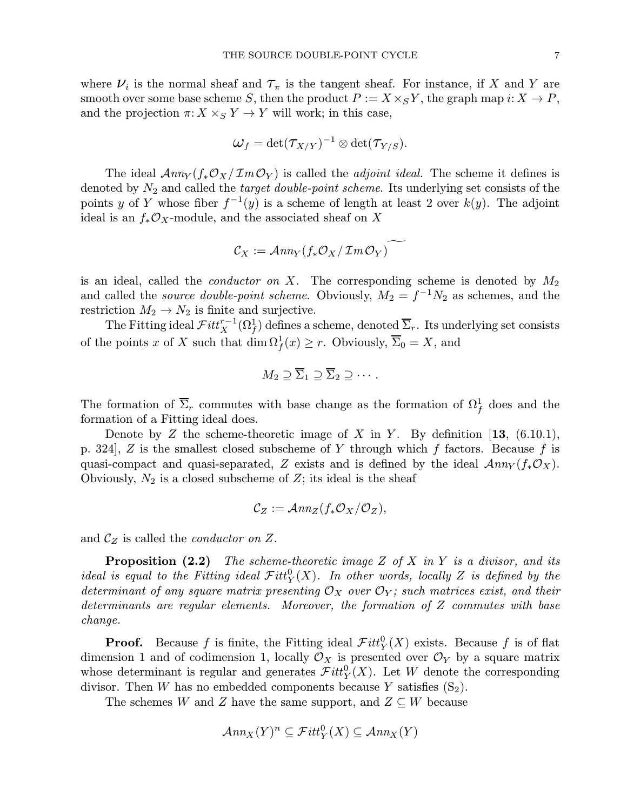where  $\nu_i$  is the normal sheaf and  $\tau_{\pi}$  is the tangent sheaf. For instance, if X and Y are smooth over some base scheme S, then the product  $P := X \times_S Y$ , the graph map  $i: X \to P$ , and the projection  $\pi: X \times_S Y \to Y$  will work; in this case,

$$
\omega_f = \det(\tau_{X/Y})^{-1} \otimes \det(\tau_{Y/S}).
$$

The ideal  $\mathcal{A}nn_Y(f_*\mathcal{O}_X/\mathcal{I}m\mathcal{O}_Y)$  is called the *adjoint ideal*. The scheme it defines is denoted by  $N_2$  and called the *target double-point scheme*. Its underlying set consists of the points y of Y whose fiber  $f^{-1}(y)$  is a scheme of length at least 2 over  $k(y)$ . The adjoint ideal is an  $f_*\mathcal{O}_X$ -module, and the associated sheaf on X

$$
\mathcal{C}_X := \mathcal{A}nn_Y(f_*\mathcal{O}_X/\mathcal{I}m\mathcal{O}_Y)
$$

is an ideal, called the *conductor on* X. The corresponding scheme is denoted by  $M_2$ and called the *source double-point scheme*. Obviously,  $M_2 = f^{-1}N_2$  as schemes, and the restriction  $M_2 \to N_2$  is finite and surjective.

The Fitting ideal  $\mathcal{F}itt_X^{r-1}(\Omega_f^1)$  defines a scheme, denoted  $\overline{\Sigma}_r$ . Its underlying set consists of the points x of X such that  $\dim \Omega_f^1(x) \geq r$ . Obviously,  $\overline{\Sigma}_0 = X$ , and

$$
M_2 \supseteq \overline{\Sigma}_1 \supseteq \overline{\Sigma}_2 \supseteq \cdots.
$$

The formation of  $\overline{\Sigma}_r$  commutes with base change as the formation of  $\Omega_f^1$  does and the formation of a Fitting ideal does.

Denote by Z the scheme-theoretic image of X in Y. By definition  $[13, (6.10.1),$ p. 324, Z is the smallest closed subscheme of Y through which f factors. Because f is quasi-compact and quasi-separated, Z exists and is defined by the ideal  $\mathcal{A}nn_Y(f_*\mathcal{O}_X)$ . Obviously,  $N_2$  is a closed subscheme of Z; its ideal is the sheaf

$$
C_Z := \mathcal{A}nn_Z(f_*\mathcal{O}_X/\mathcal{O}_Z),
$$

and  $\mathcal{C}_Z$  is called the *conductor* on Z.

**Proposition (2.2)** The scheme-theoretic image Z of X in Y is a divisor, and its ideal is equal to the Fitting ideal  $\mathcal{Fitt}_Y^0(X)$ . In other words, locally Z is defined by the determinant of any square matrix presenting  $\mathcal{O}_X$  over  $\mathcal{O}_Y$ ; such matrices exist, and their determinants are regular elements. Moreover, the formation of Z commutes with base change.

**Proof.** Because f is finite, the Fitting ideal  $Fitt_Y^0(X)$  exists. Because f is of flat dimension 1 and of codimension 1, locally  $\mathcal{O}_X$  is presented over  $\mathcal{O}_Y$  by a square matrix whose determinant is regular and generates  $\mathcal{F}itt_Y^0(X)$ . Let W denote the corresponding divisor. Then W has no embedded components because Y satisfies  $(S_2)$ .

The schemes W and Z have the same support, and  $Z \subseteq W$  because

$$
\mathcal{A}nn_X(Y)^n\subseteq \mathcal{F}itt_Y^0(X)\subseteq \mathcal{A}nn_X(Y)
$$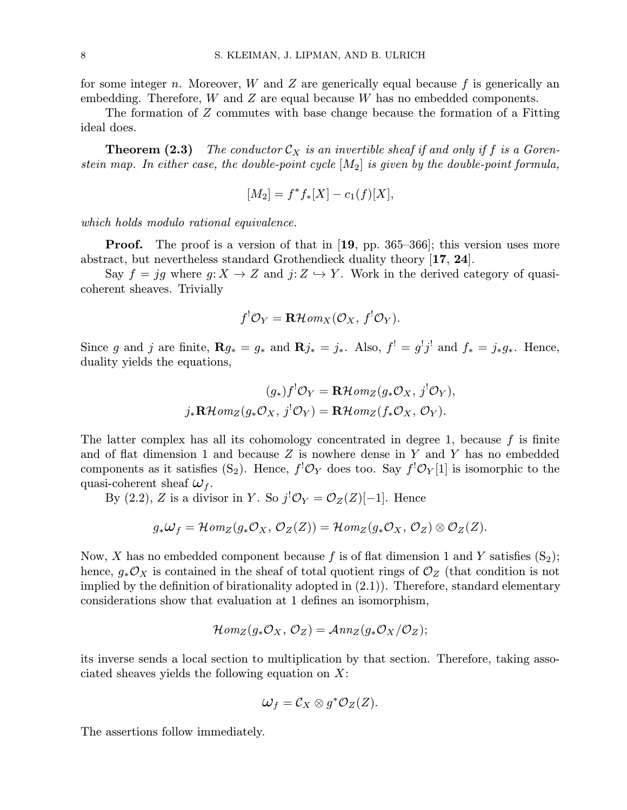for some integer n. Moreover,  $W$  and  $Z$  are generically equal because  $f$  is generically an embedding. Therefore,  $W$  and  $Z$  are equal because  $W$  has no embedded components.

The formation of Z commutes with base change because the formation of a Fitting ideal does.

**Theorem (2.3)** The conductor  $\mathcal{C}_X$  is an invertible sheaf if and only if f is a Gorenstein map. In either case, the double-point cycle  $|M_2|$  is given by the double-point formula,

$$
[M_2] = f^* f_* [X] - c_1(f)[X],
$$

which holds modulo rational equivalence.

**Proof.** The proof is a version of that in  $[19, pp. 365-366]$ ; this version uses more abstract, but nevertheless standard Grothendieck duality theory [17, 24].

Say  $f = ig$  where  $g: X \to Z$  and  $j: Z \to Y$ . Work in the derived category of quasicoherent sheaves. Trivially

$$
f^{!}\mathcal{O}_{Y} = \mathbf{R}\mathcal{H}om_{X}(\mathcal{O}_{X}, f^{!}\mathcal{O}_{Y}).
$$

Since g and j are finite,  $\mathbf{R}g_* = g_*$  and  $\mathbf{R}j_* = j_*$ . Also,  $f' = g'j'$  and  $f_* = j_*g_*$ . Hence, duality yields the equations,

$$
(g_*)f^!\mathcal{O}_Y = \mathbf{R}\mathcal{H}om_Z(g_*\mathcal{O}_X, j^!\mathcal{O}_Y),
$$
  

$$
j_*\mathbf{R}\mathcal{H}om_Z(g_*\mathcal{O}_X, j^!\mathcal{O}_Y) = \mathbf{R}\mathcal{H}om_Z(f_*\mathcal{O}_X, \mathcal{O}_Y).
$$

The latter complex has all its cohomology concentrated in degree 1, because  $f$  is finite and of flat dimension 1 and because  $Z$  is nowhere dense in  $Y$  and  $Y$  has no embedded components as it satisfies  $(S_2)$ . Hence,  $f^! \mathcal{O}_Y$  does too. Say  $f^! \mathcal{O}_Y[1]$  is isomorphic to the quasi-coherent sheaf  $\omega_f$ .

By (2.2), Z is a divisor in Y. So  $j^{\dagger} \mathcal{O}_Y = \mathcal{O}_Z(Z)[-1]$ . Hence

$$
g_*\omega_f = \mathcal{H}om_Z(g_*\mathcal{O}_X, \mathcal{O}_Z(Z)) = \mathcal{H}om_Z(g_*\mathcal{O}_X, \mathcal{O}_Z) \otimes \mathcal{O}_Z(Z).
$$

Now, X has no embedded component because f is of flat dimension 1 and Y satisfies  $(S_2)$ ; hence,  $g_*\mathcal{O}_X$  is contained in the sheaf of total quotient rings of  $\mathcal{O}_Z$  (that condition is not implied by the definition of birationality adopted in (2.1)). Therefore, standard elementary considerations show that evaluation at 1 defines an isomorphism,

$$
\mathcal{H}om_Z(g_*\mathcal{O}_X,\mathcal{O}_Z)=\mathcal{A}nn_Z(g_*\mathcal{O}_X/\mathcal{O}_Z);
$$

its inverse sends a local section to multiplication by that section. Therefore, taking associated sheaves yields the following equation on  $X$ :

$$
\omega_f = \mathcal{C}_X \otimes g^* \mathcal{O}_Z(Z).
$$

The assertions follow immediately.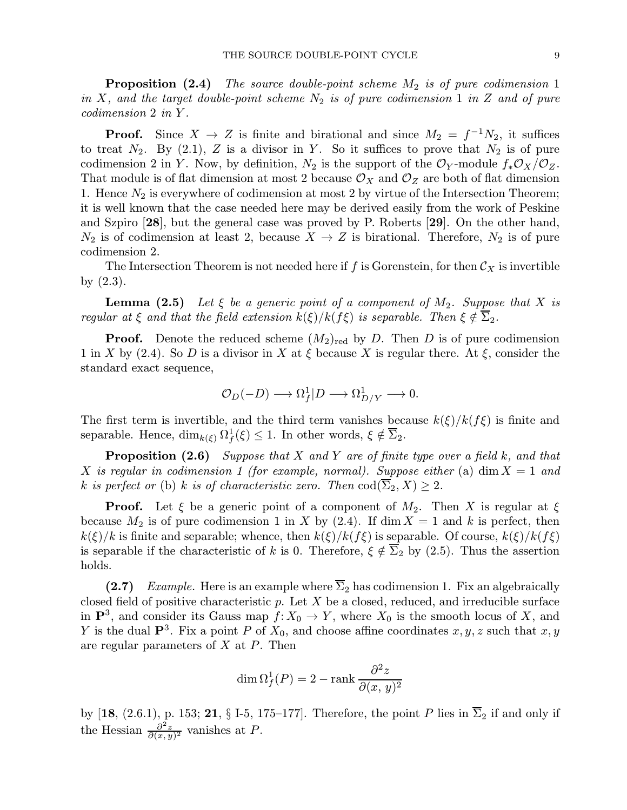**Proposition (2.4)** The source double-point scheme  $M_2$  is of pure codimension 1 in X, and the target double-point scheme  $N_2$  is of pure codimension 1 in Z and of pure codimension 2 in Y .

**Proof.** Since  $X \to Z$  is finite and birational and since  $M_2 = f^{-1}N_2$ , it suffices to treat  $N_2$ . By (2.1), Z is a divisor in Y. So it suffices to prove that  $N_2$  is of pure codimension 2 in Y. Now, by definition,  $N_2$  is the support of the  $\mathcal{O}_Y$ -module  $f_*\mathcal{O}_X/\mathcal{O}_Z$ . That module is of flat dimension at most 2 because  $\mathcal{O}_X$  and  $\mathcal{O}_Z$  are both of flat dimension 1. Hence  $N_2$  is everywhere of codimension at most 2 by virtue of the Intersection Theorem; it is well known that the case needed here may be derived easily from the work of Peskine and Szpiro [28], but the general case was proved by P. Roberts [29]. On the other hand,  $N_2$  is of codimension at least 2, because  $X \to Z$  is birational. Therefore,  $N_2$  is of pure codimension 2.

The Intersection Theorem is not needed here if f is Gorenstein, for then  $\mathcal{C}_X$  is invertible by (2.3).

**Lemma (2.5)** Let  $\xi$  be a generic point of a component of  $M_2$ . Suppose that X is regular at  $\xi$  and that the field extension  $k(\xi)/k(f\xi)$  is separable. Then  $\xi \notin \Sigma_2$ .

**Proof.** Denote the reduced scheme  $(M_2)_{\text{red}}$  by D. Then D is of pure codimension 1 in X by (2.4). So D is a divisor in X at  $\xi$  because X is regular there. At  $\xi$ , consider the standard exact sequence,

$$
\mathcal{O}_D(-D) \longrightarrow \Omega_f^1 | D \longrightarrow \Omega_{D/Y}^1 \longrightarrow 0.
$$

The first term is invertible, and the third term vanishes because  $k(\xi)/k(f\xi)$  is finite and separable. Hence,  $\dim_{k(\xi)} \Omega_f^1(\xi) \leq 1$ . In other words,  $\xi \notin \overline{\Sigma}_2$ .

**Proposition (2.6)** Suppose that X and Y are of finite type over a field k, and that X is regular in codimension 1 (for example, normal). Suppose either (a) dim  $X = 1$  and k is perfect or (b) k is of characteristic zero. Then  $\text{cod}(\overline{\Sigma}_2, X) \geq 2$ .

**Proof.** Let  $\xi$  be a generic point of a component of  $M_2$ . Then X is regular at  $\xi$ because  $M_2$  is of pure codimension 1 in X by (2.4). If dim  $X = 1$  and k is perfect, then  $k(\xi)/k$  is finite and separable; whence, then  $k(\xi)/k(f\xi)$  is separable. Of course,  $k(\xi)/k(f\xi)$ is separable if the characteristic of k is 0. Therefore,  $\xi \notin \overline{\Sigma}_2$  by (2.5). Thus the assertion holds.

(2.7) Example. Here is an example where  $\overline{\Sigma}_2$  has codimension 1. Fix an algebraically closed field of positive characteristic  $p$ . Let  $X$  be a closed, reduced, and irreducible surface in  $\mathbf{P}^3$ , and consider its Gauss map  $f: X_0 \to Y$ , where  $X_0$  is the smooth locus of X, and Y is the dual  $\mathbf{P}^3$ . Fix a point P of  $X_0$ , and choose affine coordinates x, y, z such that x, y are regular parameters of X at P. Then

$$
\dim \Omega_f^1(P) = 2 - \operatorname{rank} \frac{\partial^2 z}{\partial (x, y)^2}
$$

by [18, (2.6.1), p. 153; 21, § I-5, 175–177]. Therefore, the point P lies in  $\overline{\Sigma}_2$  if and only if the Hessian  $\frac{\partial^2 z}{\partial (x,y)^2}$  vanishes at P.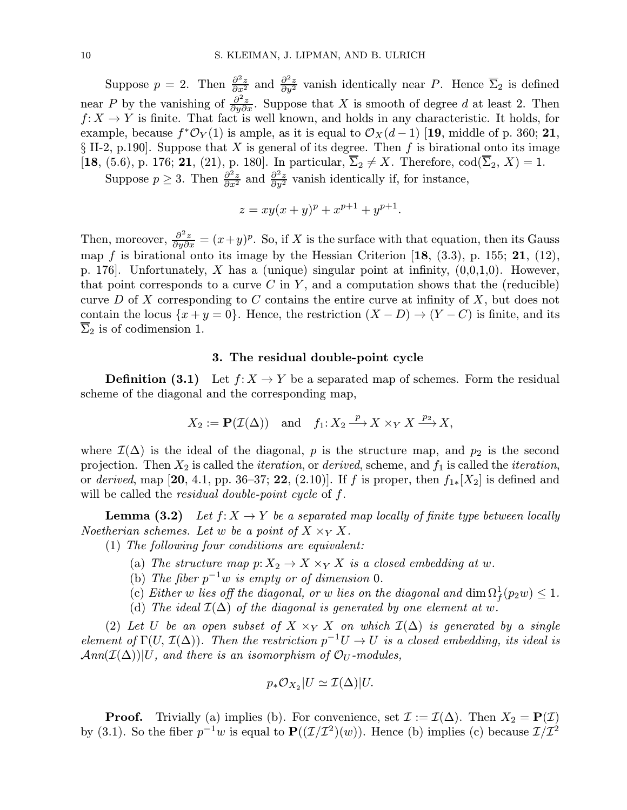Suppose  $p = 2$ . Then  $\frac{\partial^2 z}{\partial x^2}$  and  $\frac{\partial^2 z}{\partial y^2}$  vanish identically near P. Hence  $\overline{\Sigma}_2$  is defined near P by the vanishing of  $\frac{\partial^2 z}{\partial y \partial x}$ . Suppose that X is smooth of degree d at least 2. Then  $f: X \to Y$  is finite. That fact is well known, and holds in any characteristic. It holds, for example, because  $f^* \mathcal{O}_Y(1)$  is ample, as it is equal to  $\mathcal{O}_X(d-1)$  [19, middle of p. 360; 21,  $\S$  II-2, p.190. Suppose that X is general of its degree. Then f is birational onto its image [18, (5.6), p. 176; 21, (21), p. 180]. In particular,  $\overline{\Sigma}_2 \neq X$ . Therefore,  $\text{cod}(\overline{\Sigma}_2, X) = 1$ .

Suppose  $p \geq 3$ . Then  $\frac{\partial^2 z}{\partial x^2}$  and  $\frac{\partial^2 z}{\partial y^2}$  vanish identically if, for instance,

$$
z = xy(x + y)^p + x^{p+1} + y^{p+1}.
$$

Then, moreover,  $\frac{\partial^2 z}{\partial y \partial x} = (x+y)^p$ . So, if X is the surface with that equation, then its Gauss map f is birational onto its image by the Hessian Criterion  $[18, (3.3), p. 155; 21, (12),$ p. 176. Unfortunately, X has a (unique) singular point at infinity,  $(0,0,1,0)$ . However, that point corresponds to a curve  $C$  in  $Y$ , and a computation shows that the (reducible) curve D of X corresponding to C contains the entire curve at infinity of X, but does not contain the locus  $\{x + y = 0\}$ . Hence, the restriction  $(X - D) \rightarrow (Y - C)$  is finite, and its  $\Sigma_2$  is of codimension 1.

### 3. The residual double-point cycle

**Definition (3.1)** Let  $f: X \to Y$  be a separated map of schemes. Form the residual scheme of the diagonal and the corresponding map,

$$
X_2 := \mathbf{P}(\mathcal{I}(\Delta)) \quad \text{and} \quad f_1: X_2 \xrightarrow{p} X \times_Y X \xrightarrow{p_2} X,
$$

where  $\mathcal{I}(\Delta)$  is the ideal of the diagonal, p is the structure map, and  $p_2$  is the second projection. Then  $X_2$  is called the *iteration*, or *derived*, scheme, and  $f_1$  is called the *iteration*, or derived, map [20, 4.1, pp. 36–37; 22, (2.10)]. If f is proper, then  $f_{1*}[X_2]$  is defined and will be called the *residual double-point cycle* of f.

**Lemma (3.2)** Let  $f: X \to Y$  be a separated map locally of finite type between locally Noetherian schemes. Let w be a point of  $X \times_Y X$ .

(1) The following four conditions are equivalent:

- (a) The structure map  $p: X_2 \to X \times_Y X$  is a closed embedding at w.
- (b) The fiber  $p^{-1}w$  is empty or of dimension 0.
- (c) Either w lies off the diagonal, or w lies on the diagonal and  $\dim \Omega_f^1(p_2w) \leq 1$ .
- (d) The ideal  $\mathcal{I}(\Delta)$  of the diagonal is generated by one element at w.

(2) Let U be an open subset of  $X \times_Y X$  on which  $\mathcal{I}(\Delta)$  is generated by a single element of  $\Gamma(U, \mathcal{I}(\Delta))$ . Then the restriction  $p^{-1}U \to U$  is a closed embedding, its ideal is  $Ann(\mathcal{I}(\Delta))|U$ , and there is an isomorphism of  $\mathcal{O}_U$ -modules,

$$
p_*\mathcal{O}_{X_2}|U \simeq \mathcal{I}(\Delta)|U.
$$

**Proof.** Trivially (a) implies (b). For convenience, set  $\mathcal{I} := \mathcal{I}(\Delta)$ . Then  $X_2 = \mathbf{P}(\mathcal{I})$ by (3.1). So the fiber  $p^{-1}w$  is equal to  $\mathbf{P}((\mathcal{I}/\mathcal{I}^2)(w))$ . Hence (b) implies (c) because  $\mathcal{I}/\mathcal{I}^2$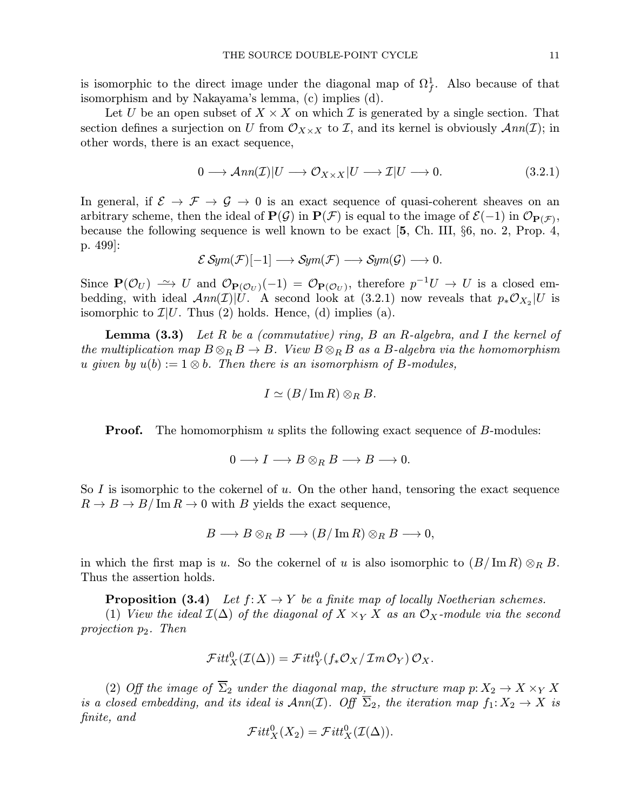Let U be an open subset of  $X \times X$  on which I is generated by a single section. That section defines a surjection on U from  $\mathcal{O}_{X\times X}$  to I, and its kernel is obviously  $\mathcal{A}nn(\mathcal{I})$ ; in other words, there is an exact sequence,

$$
0 \longrightarrow \mathcal{A}nn(\mathcal{I})|U \longrightarrow \mathcal{O}_{X \times X}|U \longrightarrow \mathcal{I}|U \longrightarrow 0. \tag{3.2.1}
$$

In general, if  $\mathcal{E} \rightarrow \mathcal{F} \rightarrow \mathcal{G} \rightarrow 0$  is an exact sequence of quasi-coherent sheaves on an arbitrary scheme, then the ideal of  $\mathbf{P}(\mathcal{G})$  in  $\mathbf{P}(\mathcal{F})$  is equal to the image of  $\mathcal{E}(-1)$  in  $\mathcal{O}_{\mathbf{P}(\mathcal{F})}$ , because the following sequence is well known to be exact [5, Ch. III, §6, no. 2, Prop. 4, p. 499]:

$$
\mathcal{E} \operatorname{\mathcal{S}ym}(\mathcal{F})[-1] \longrightarrow \operatorname{\mathcal{S}ym}(\mathcal{F}) \longrightarrow \operatorname{\mathcal{S}ym}(\mathcal{G}) \longrightarrow 0.
$$

Since  $P(\mathcal{O}_U) \longrightarrow U$  and  $\mathcal{O}_{P(\mathcal{O}_U)}(-1) = \mathcal{O}_{P(\mathcal{O}_U)}$ , therefore  $p^{-1}U \longrightarrow U$  is a closed embedding, with ideal  $Ann(\mathcal{I})|U$ . A second look at (3.2.1) now reveals that  $p_*\mathcal{O}_{X_2}|U$  is isomorphic to  $\mathcal{I}|U$ . Thus (2) holds. Hence, (d) implies (a).

**Lemma (3.3)** Let R be a (commutative) ring, B an R-algebra, and I the kernel of the multiplication map  $B \otimes_R B \to B$ . View  $B \otimes_R B$  as a B-algebra via the homomorphism u given by  $u(b) := 1 \otimes b$ . Then there is an isomorphism of B-modules,

$$
I \simeq (B/\operatorname{Im} R) \otimes_R B.
$$

**Proof.** The homomorphism u splits the following exact sequence of  $B$ -modules:

$$
0\longrightarrow I\longrightarrow B\otimes_R B\longrightarrow B\longrightarrow 0.
$$

So I is isomorphic to the cokernel of  $u$ . On the other hand, tensoring the exact sequence  $R \to B \to B/\operatorname{Im} R \to 0$  with B yields the exact sequence,

$$
B\longrightarrow B\otimes_R B\longrightarrow (B/\operatorname{Im} R)\otimes_R B\longrightarrow 0,
$$

in which the first map is u. So the cokernel of u is also isomorphic to  $(B/\mathrm{Im}\,R)\otimes_R B$ . Thus the assertion holds.

**Proposition (3.4)** Let  $f: X \to Y$  be a finite map of locally Noetherian schemes. (1) View the ideal  $\mathcal{I}(\Delta)$  of the diagonal of  $X \times_Y X$  as an  $\mathcal{O}_X$ -module via the second projection  $p_2$ . Then

$$
\mathcal{F}itt_X^0(\mathcal{I}(\Delta)) = \mathcal{F}itt_Y^0(f_*\mathcal{O}_X/\mathcal{I}m\mathcal{O}_Y)\mathcal{O}_X.
$$

(2) Off the image of  $\overline{\Sigma}_2$  under the diagonal map, the structure map  $p: X_2 \to X \times_Y X$ is a closed embedding, and its ideal is  $\text{Ann}(\mathcal{I})$ . Off  $\overline{\Sigma}_2$ , the iteration map  $f_1: X_2 \to X$  is finite, and

$$
\mathcal{F}itt_X^0(X_2) = \mathcal{F}itt_X^0(\mathcal{I}(\Delta)).
$$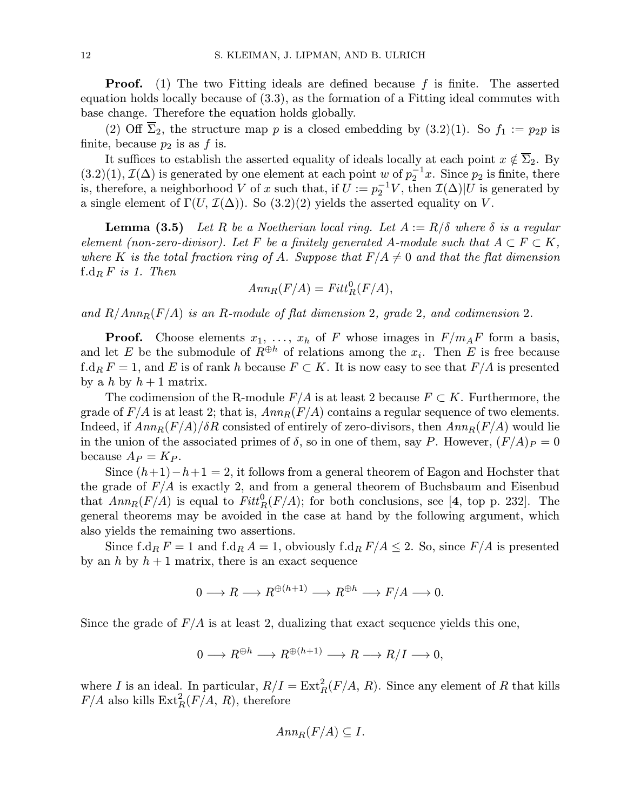**Proof.** (1) The two Fitting ideals are defined because  $f$  is finite. The asserted equation holds locally because of (3.3), as the formation of a Fitting ideal commutes with base change. Therefore the equation holds globally.

(2) Off  $\overline{\Sigma}_2$ , the structure map p is a closed embedding by (3.2)(1). So  $f_1 := p_2p$  is finite, because  $p_2$  is as f is.

It suffices to establish the asserted equality of ideals locally at each point  $x \notin \overline{\Sigma}_2$ . By  $(3.2)(1)$ ,  $\mathcal{I}(\Delta)$  is generated by one element at each point w of  $p_2^{-1}x$ . Since  $p_2$  is finite, there is, therefore, a neighborhood V of x such that, if  $U := p_2^{-1}V$ , then  $\mathcal{I}(\Delta)|U$  is generated by a single element of  $\Gamma(U, \mathcal{I}(\Delta))$ . So  $(3.2)(2)$  yields the asserted equality on V.

**Lemma (3.5)** Let R be a Noetherian local ring. Let  $A := R/\delta$  where  $\delta$  is a regular element (non-zero-divisor). Let F be a finitely generated A-module such that  $A \subset F \subset K$ , where K is the total fraction ring of A. Suppose that  $F/A \neq 0$  and that the flat dimension  $f.d_R F$  is 1. Then

$$
Ann_R(F/A) = Fitt_R^0(F/A),
$$

and  $R/Ann_R(F/A)$  is an R-module of flat dimension 2, grade 2, and codimension 2.

**Proof.** Choose elements  $x_1, \ldots, x_h$  of F whose images in  $F/m_A F$  form a basis, and let E be the submodule of  $R^{\oplus h}$  of relations among the  $x_i$ . Then E is free because f.d<sub>R</sub>  $F = 1$ , and E is of rank h because  $F \subset K$ . It is now easy to see that  $F/A$  is presented by a h by  $h + 1$  matrix.

The codimension of the R-module  $F/A$  is at least 2 because  $F \subset K$ . Furthermore, the grade of  $F/A$  is at least 2; that is,  $Ann_R(F/A)$  contains a regular sequence of two elements. Indeed, if  $Ann_R(F/A)/\delta R$  consisted of entirely of zero-divisors, then  $Ann_R(F/A)$  would lie in the union of the associated primes of  $\delta$ , so in one of them, say P. However,  $(F/A)_P = 0$ because  $A_P = K_P$ .

Since  $(h+1)-h+1=2$ , it follows from a general theorem of Eagon and Hochster that the grade of  $F/A$  is exactly 2, and from a general theorem of Buchsbaum and Eisenbud that  $Ann_R(F/A)$  is equal to  $Fitt_R^0(F/A)$ ; for both conclusions, see [4, top p. 232]. The general theorems may be avoided in the case at hand by the following argument, which also yields the remaining two assertions.

Since f.d<sub>R</sub>  $F = 1$  and f.d<sub>R</sub>  $A = 1$ , obviously f.d<sub>R</sub>  $F/A \le 2$ . So, since  $F/A$  is presented by an h by  $h + 1$  matrix, there is an exact sequence

$$
0 \longrightarrow R \longrightarrow R^{\oplus (h+1)} \longrightarrow R^{\oplus h} \longrightarrow F/A \longrightarrow 0.
$$

Since the grade of  $F/A$  is at least 2, dualizing that exact sequence yields this one,

$$
0 \longrightarrow R^{\oplus h} \longrightarrow R^{\oplus (h+1)} \longrightarrow R \longrightarrow R/I \longrightarrow 0,
$$

where I is an ideal. In particular,  $R/I = \text{Ext}^2_R(F/A, R)$ . Since any element of R that kills  $F/A$  also kills  $\text{Ext}^2_R(F/A, R)$ , therefore

$$
Ann_R(F/A) \subseteq I.
$$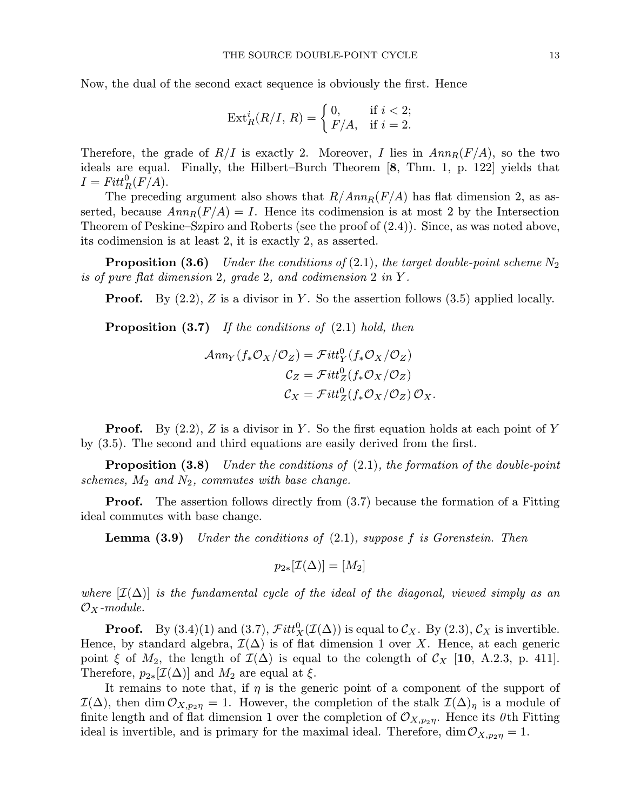Now, the dual of the second exact sequence is obviously the first. Hence

THE SOURCE DOUBLE-POINT CYCL  
l exact sequence is obviously the fi  

$$
Ext_R^i(R/I, R) = \begin{cases} 0, & \text{if } i < 2; \\ F/A, & \text{if } i = 2. \end{cases}
$$

Therefore, the grade of  $R/I$  is exactly 2. Moreover, I lies in  $Ann_R(F/A)$ , so the two ideals are equal. Finally, the Hilbert–Burch Theorem [8, Thm. 1, p. 122] yields that  $I = Fitt^0_R(F/A).$ 

The preceding argument also shows that  $R/Ann_R(F/A)$  has flat dimension 2, as asserted, because  $Ann_R(F/A) = I$ . Hence its codimension is at most 2 by the Intersection Theorem of Peskine–Szpiro and Roberts (see the proof of (2.4)). Since, as was noted above, its codimension is at least 2, it is exactly 2, as asserted.

**Proposition (3.6)** Under the conditions of (2.1), the target double-point scheme  $N_2$ is of pure flat dimension 2, grade 2, and codimension 2 in Y .

**Proof.** By  $(2.2)$ , Z is a divisor in Y. So the assertion follows  $(3.5)$  applied locally.

**Proposition (3.7)** If the conditions of  $(2.1)$  hold, then

$$
\mathcal{A}nn_Y(f_*\mathcal{O}_X/\mathcal{O}_Z) = \mathcal{F}itt_Y^0(f_*\mathcal{O}_X/\mathcal{O}_Z)
$$

$$
\mathcal{C}_Z = \mathcal{F}itt_Z^0(f_*\mathcal{O}_X/\mathcal{O}_Z)
$$

$$
\mathcal{C}_X = \mathcal{F}itt_Z^0(f_*\mathcal{O}_X/\mathcal{O}_Z)\mathcal{O}_X.
$$

**Proof.** By  $(2.2)$ , Z is a divisor in Y. So the first equation holds at each point of Y by (3.5). The second and third equations are easily derived from the first.

**Proposition (3.8)** Under the conditions of  $(2.1)$ , the formation of the double-point schemes,  $M_2$  and  $N_2$ , commutes with base change.

**Proof.** The assertion follows directly from  $(3.7)$  because the formation of a Fitting ideal commutes with base change.

**Lemma (3.9)** Under the conditions of  $(2.1)$ , suppose f is Gorenstein. Then

$$
p_{2*}[\mathcal{I}(\Delta)] = [M_2]
$$

where  $[\mathcal{I}(\Delta)]$  is the fundamental cycle of the ideal of the diagonal, viewed simply as an  $\mathcal{O}_X$ -module.

**Proof.** By  $(3.4)(1)$  and  $(3.7)$ ,  $\mathcal{F}itt_X^0(\mathcal{I}(\Delta))$  is equal to  $\mathcal{C}_X$ . By  $(2.3)$ ,  $\mathcal{C}_X$  is invertible. Hence, by standard algebra,  $\mathcal{I}(\Delta)$  is of flat dimension 1 over X. Hence, at each generic point  $\xi$  of  $M_2$ , the length of  $\mathcal{I}(\Delta)$  is equal to the colength of  $\mathcal{C}_X$  [10, A.2.3, p. 411]. Therefore,  $p_{2*}[\mathcal{I}(\Delta)]$  and  $M_2$  are equal at  $\xi$ .

It remains to note that, if  $\eta$  is the generic point of a component of the support of  $\mathcal{I}(\Delta)$ , then dim  $\mathcal{O}_{X,p_2n} = 1$ . However, the completion of the stalk  $\mathcal{I}(\Delta)_n$  is a module of finite length and of flat dimension 1 over the completion of  $\mathcal{O}_{X,p_2\eta}$ . Hence its 0th Fitting ideal is invertible, and is primary for the maximal ideal. Therefore,  $\dim \mathcal{O}_{X,p_2\eta} = 1$ .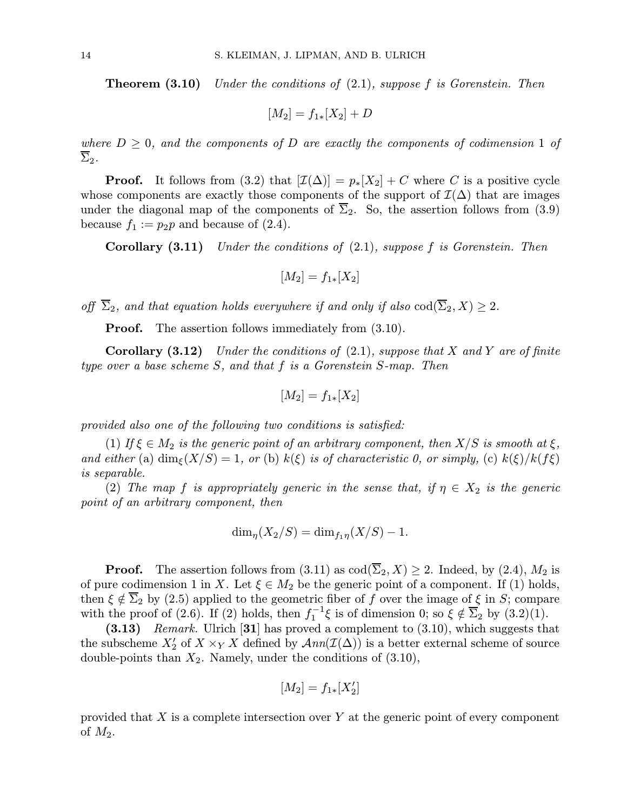**Theorem (3.10)** Under the conditions of  $(2.1)$ , suppose f is Gorenstein. Then

$$
[M_2] = f_{1*}[X_2] + D
$$

where  $D \geq 0$ , and the components of D are exactly the components of codimension 1 of  $\overline{\Sigma}_2$ .

**Proof.** It follows from (3.2) that  $[\mathcal{I}(\Delta)] = p_*[X_2] + C$  where C is a positive cycle whose components are exactly those components of the support of  $\mathcal{I}(\Delta)$  that are images under the diagonal map of the components of  $\overline{\Sigma}_2$ . So, the assertion follows from (3.9) because  $f_1 := p_2p$  and because of (2.4).

**Corollary (3.11)** Under the conditions of  $(2.1)$ , suppose f is Gorenstein. Then

$$
[M_2] = f_{1*}[X_2]
$$

off  $\overline{\Sigma}_2$ , and that equation holds everywhere if and only if also  $\text{cod}(\overline{\Sigma}_2, X) \geq 2$ .

**Proof.** The assertion follows immediately from  $(3.10)$ .

**Corollary (3.12)** Under the conditions of (2.1), suppose that X and Y are of finite type over a base scheme S, and that f is a Gorenstein S-map. Then

$$
[M_2] = f_{1*}[X_2]
$$

provided also one of the following two conditions is satisfied:

(1) If  $\xi \in M_2$  is the generic point of an arbitrary component, then  $X/S$  is smooth at  $\xi$ , and either (a)  $\dim_{\xi}(X/S)=1$ , or (b)  $k(\xi)$  is of characteristic 0, or simply, (c)  $k(\xi)/k(f\xi)$ is separable.

(2) The map f is appropriately generic in the sense that, if  $\eta \in X_2$  is the generic point of an arbitrary component, then

$$
\dim_{\eta}(X_2/S) = \dim_{f_1\eta}(X/S) - 1.
$$

**Proof.** The assertion follows from  $(3.11)$  as  $\text{cod}(\overline{\Sigma}_2, X) \geq 2$ . Indeed, by  $(2.4)$ ,  $M_2$  is of pure codimension 1 in X. Let  $\xi \in M_2$  be the generic point of a component. If (1) holds, then  $\xi \notin \Sigma_2$  by (2.5) applied to the geometric fiber of f over the image of  $\xi$  in S; compare with the proof of (2.6). If (2) holds, then  $f_1^{-1}\xi$  is of dimension 0; so  $\xi \notin \overline{\Sigma}_2$  by (3.2)(1).

 $(3.13)$  Remark. Ulrich [31] has proved a complement to  $(3.10)$ , which suggests that the subscheme  $X'_2$  of  $X \times_Y X$  defined by  $\mathcal{A}nn(\mathcal{I}(\Delta))$  is a better external scheme of source double-points than  $X_2$ . Namely, under the conditions of  $(3.10)$ ,

$$
[M_2] = f_{1*}[X_2']
$$

provided that  $X$  is a complete intersection over  $Y$  at the generic point of every component of  $M_2$ .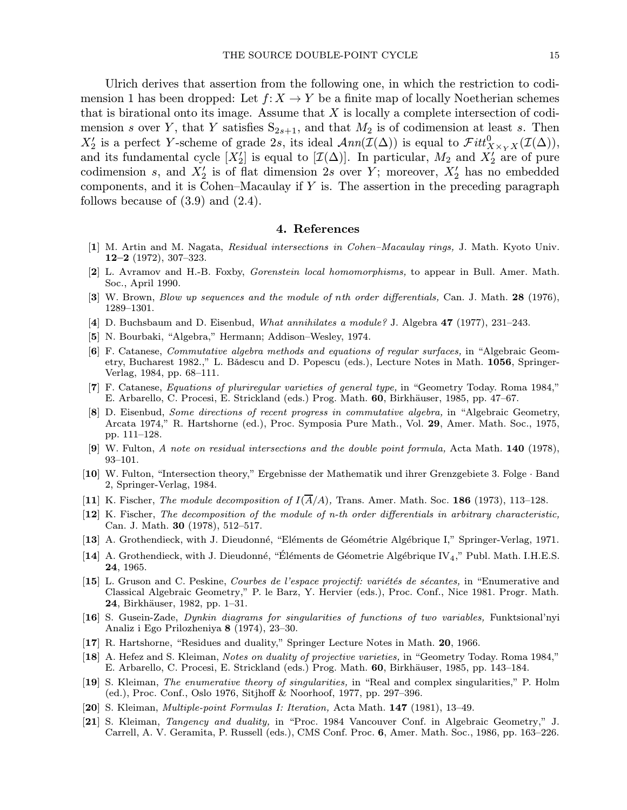Ulrich derives that assertion from the following one, in which the restriction to codimension 1 has been dropped: Let  $f: X \to Y$  be a finite map of locally Noetherian schemes that is birational onto its image. Assume that  $X$  is locally a complete intersection of codimension s over Y, that Y satisfies  $S_{2s+1}$ , and that  $M_2$  is of codimension at least s. Then  $X_2'$  is a perfect Y-scheme of grade 2s, its ideal  $\mathcal{A}nn(\mathcal{I}(\Delta))$  is equal to  $\mathcal{F}itt_{X\times_YX}^0(\mathcal{I}(\Delta))$ , and its fundamental cycle  $[X'_2]$  is equal to  $[\mathcal{I}(\Delta)]$ . In particular,  $M_2$  and  $X'_2$  are of pure codimension s, and  $X'_2$  is of flat dimension 2s over Y; moreover,  $X'_2$  has no embedded components, and it is Cohen–Macaulay if  $Y$  is. The assertion in the preceding paragraph follows because of  $(3.9)$  and  $(2.4)$ .

## 4. References

- [1] M. Artin and M. Nagata, Residual intersections in Cohen–Macaulay rings, J. Math. Kyoto Univ. 12–2 (1972), 307–323.
- [2] L. Avramov and H.-B. Foxby, Gorenstein local homomorphisms, to appear in Bull. Amer. Math. Soc., April 1990.
- [3] W. Brown, *Blow up sequences and the module of nth order differentials*, Can. J. Math. 28 (1976), 1289–1301.
- [4] D. Buchsbaum and D. Eisenbud, What annihilates a module? J. Algebra 47 (1977), 231–243.
- [5] N. Bourbaki, "Algebra," Hermann; Addison–Wesley, 1974.
- [6] F. Catanese, Commutative algebra methods and equations of regular surfaces, in "Algebraic Geometry, Bucharest 1982.," L. Bădescu and D. Popescu (eds.), Lecture Notes in Math. 1056, Springer-Verlag, 1984, pp. 68–111.
- [7] F. Catanese, Equations of pluriregular varieties of general type, in "Geometry Today. Roma 1984," E. Arbarello, C. Procesi, E. Strickland (eds.) Prog. Math. 60, Birkhäuser, 1985, pp. 47–67.
- [8] D. Eisenbud, Some directions of recent progress in commutative algebra, in "Algebraic Geometry, Arcata 1974," R. Hartshorne (ed.), Proc. Symposia Pure Math., Vol. 29, Amer. Math. Soc., 1975, pp. 111–128.
- [9] W. Fulton, A note on residual intersections and the double point formula, Acta Math. 140 (1978), 93–101.
- [10] W. Fulton, "Intersection theory," Ergebnisse der Mathematik und ihrer Grenzgebiete 3. Folge · Band 2, Springer-Verlag, 1984.
- [11] K. Fischer, The module decomposition of  $I(\overline{A}/A)$ , Trans. Amer. Math. Soc. 186 (1973), 113–128.
- [12] K. Fischer, The decomposition of the module of n-th order differentials in arbitrary characteristic, Can. J. Math. 30 (1978), 512–517.
- [13] A. Grothendieck, with J. Dieudonné, "Eléments de Géométrie Algébrique I," Springer-Verlag, 1971.
- [14] A. Grothendieck, with J. Dieudonné, "Éléments de Géometrie Algébrique IV<sub>4</sub>," Publ. Math. I.H.E.S. 24, 1965.
- [15] L. Gruson and C. Peskine, Courbes de l'espace projectif: variétés de sécantes, in "Enumerative and Classical Algebraic Geometry," P. le Barz, Y. Hervier (eds.), Proc. Conf., Nice 1981. Progr. Math. **24**, Birkhäuser, 1982, pp. 1–31.
- [16] S. Gusein-Zade, Dynkin diagrams for singularities of functions of two variables, Funktsional'nyi Analiz i Ego Prilozheniya 8 (1974), 23–30.
- [17] R. Hartshorne, "Residues and duality," Springer Lecture Notes in Math. 20, 1966.
- [18] A. Hefez and S. Kleiman, Notes on duality of projective varieties, in "Geometry Today. Roma 1984," E. Arbarello, C. Procesi, E. Strickland (eds.) Prog. Math. 60, Birkhäuser, 1985, pp. 143–184.
- [19] S. Kleiman, The enumerative theory of singularities, in "Real and complex singularities," P. Holm (ed.), Proc. Conf., Oslo 1976, Sitjhoff & Noorhoof, 1977, pp. 297–396.
- [20] S. Kleiman, Multiple-point Formulas I: Iteration, Acta Math. 147 (1981), 13–49.
- [21] S. Kleiman, Tangency and duality, in "Proc. 1984 Vancouver Conf. in Algebraic Geometry," J. Carrell, A. V. Geramita, P. Russell (eds.), CMS Conf. Proc. 6, Amer. Math. Soc., 1986, pp. 163–226.